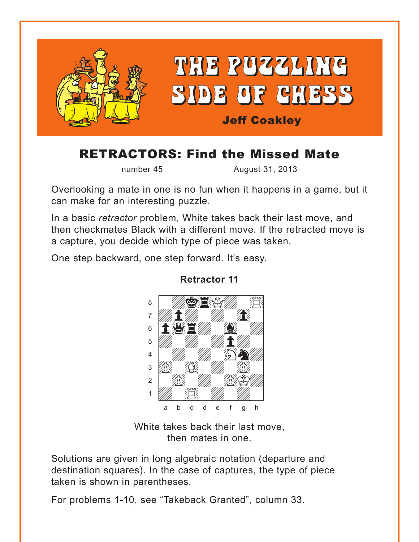<span id="page-0-0"></span>

## **RETRACTORS: Find the Missed Mate**

number 45

August 31, 2013

Overlooking a mate in one is no fun when it happens in a game, but it can make for an interesting puzzle.

In a basic retractor problem. White takes back their last move, and then checkmates Black with a different move. If the retracted move is a capture, you decide which type of piece was taken.

One step backward, one step forward. It's easy.



**Retractor 11** 

White takes back their last move. then mates in one.

Solutions are given in long algebraic notation (departure and destination squares). In the case of captures, the type of piece taken is shown in parentheses.

For problems 1-10, see "Takeback Granted", column 33.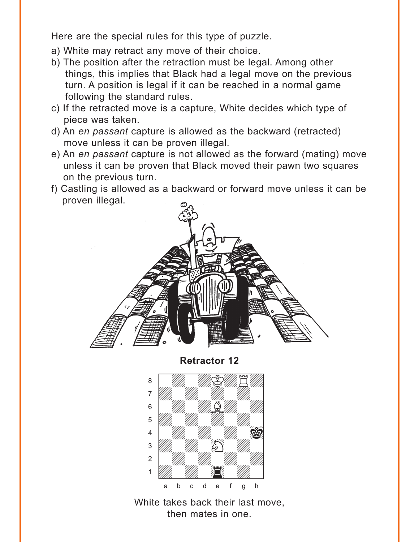<span id="page-1-0"></span>Here are the special rules for this type of puzzle.

- a) White may retract any move of their choice.
- b) The position after the retraction must be legal. Among other things, this implies that Black had a legal move on the previous turn. A position is legal if it can be reached in a normal game following the standard rules.
- c) If the retracted move is a capture, White decides which type of piece was taken.
- d) An *en passant* capture is allowed as the backward (retracted) move unless it can be proven illegal.
- e) An *en passant* capture is not allowed as the forward (mating) move unless it can be proven that Black moved their pawn two squares on the previous turn.
- f) Castling is allowed as a backward or forward move unless it can be proven illegal.





White takes back their last move, then mates in one.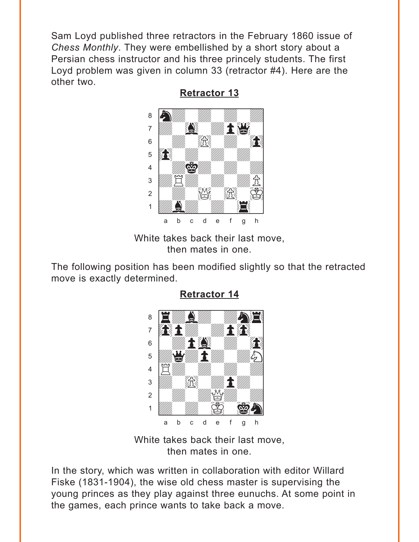<span id="page-2-0"></span>Sam Loyd published three retractors in the February 1860 issue of *Chess Monthly*. They were embellished by a short story about a Persian chess instructor and his three princely students. The first Loyd problem was given in column 33 (retractor #4). Here are the other two.



**[Retractor 13](#page-8-0)**

White takes back their last move, then mates in one.

The following position has been modified slightly so that the retracted move is exactly determined.

### **[Retractor 14](#page-9-0)**



White takes back their last move, then mates in one.

In the story, which was written in collaboration with editor Willard Fiske (1831-1904), the wise old chess master is supervising the young princes as they play against three eunuchs. At some point in the games, each prince wants to take back a move.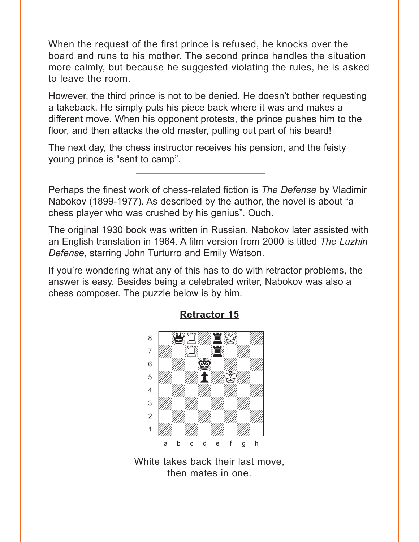<span id="page-3-0"></span>When the request of the first prince is refused, he knocks over the board and runs to his mother. The second prince handles the situation more calmly, but because he suggested violating the rules, he is asked to leave the room.

However, the third prince is not to be denied. He doesn't bother requesting a takeback. He simply puts his piece back where it was and makes a different move. When his opponent protests, the prince pushes him to the floor, and then attacks the old master, pulling out part of his beard!

The next day, the chess instructor receives his pension, and the feisty young prince is "sent to camp".

Perhaps the finest work of chess-related fiction is *The Defense* by Vladimir Nabokov (1899-1977). As described by the author, the novel is about "a chess player who was crushed by his genius". Ouch.

The original 1930 book was written in Russian. Nabokov later assisted with an English translation in 1964. A film version from 2000 is titled *The Luzhin Defense*, starring John Turturro and Emily Watson.

If you're wondering what any of this has to do with retractor problems, the answer is easy. Besides being a celebrated writer, Nabokov was also a chess composer. The puzzle below is by him.



#### **[Retractor 15](#page-9-0)**

White takes back their last move, then mates in one.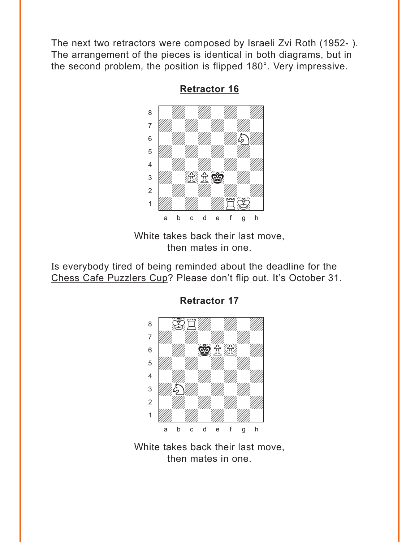<span id="page-4-0"></span>The next two retractors were composed by Israeli Zvi Roth (1952- ). The arrangement of the pieces is identical in both diagrams, but in the second problem, the position is flipped 180°. Very impressive.



**[Retractor 16](#page-10-0)**

White takes back their last move, then mates in one.

Is everybody tired of being reminded about the deadline for the Chess Cafe Puzzlers Cup? Please don't flip out. It's October 31.



**[Retractor 17](#page-11-0)**

White takes back their last move, then mates in one.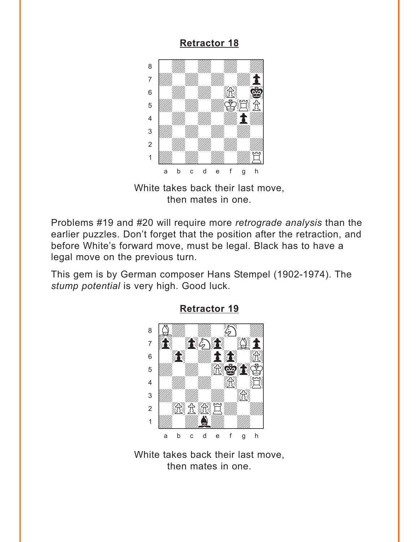### **[Retractor 18](#page-11-0)**

<span id="page-5-0"></span>

White takes back their last move, then mates in one.

Problems #19 and #20 will require more *retrograde analysis* than the earlier puzzles. Don't forget that the position after the retraction, and before White's forward move, must be legal. Black has to have a legal move on the previous turn.

This gem is by German composer Hans Stempel (1902-1974). The *stump potential* is very high. Good luck.



**[Retractor 19](#page-14-0)**

White takes back their last move, then mates in one.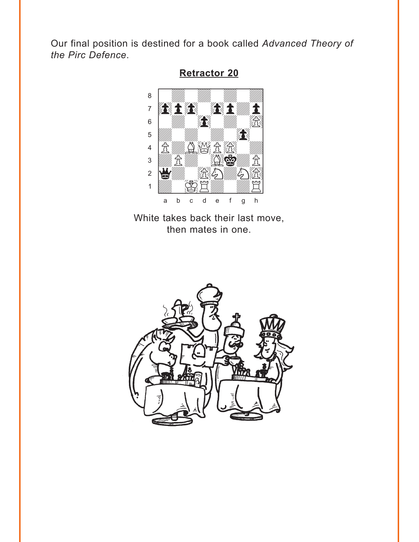<span id="page-6-0"></span>Our final position is destined for a book called Advanced Theory of the Pirc Defence.



**Retractor 20** 

White takes back their last move, then mates in one.

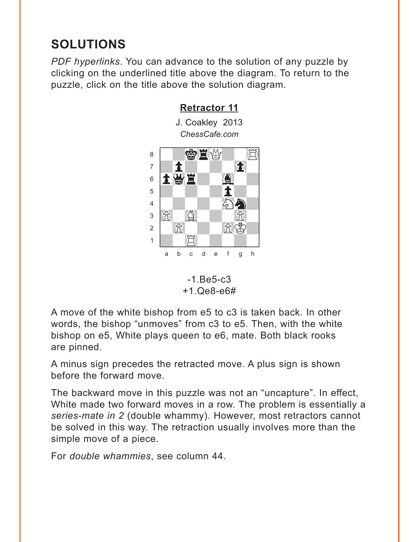# <span id="page-7-0"></span>**SOLUTIONS**

PDF hyperlinks. You can advance to the solution of any puzzle by clicking on the underlined title above the diagram. To return to the puzzle, click on the title above the solution diagram.

**Retractor 11** 



 $-1.Be5-c3$  $+1.$ Qe8-e6#

A move of the white bishop from e5 to c3 is taken back. In other words, the bishop "unmoves" from c3 to e5. Then, with the white bishop on e5, White plays queen to e6, mate. Both black rooks are pinned.

A minus sign precedes the retracted move. A plus sign is shown before the forward move.

The backward move in this puzzle was not an "uncapture". In effect, White made two forward moves in a row. The problem is essentially a series-mate in 2 (double whammy). However, most retractors cannot be solved in this way. The retraction usually involves more than the simple move of a piece.

For *double whammies*, see column 44.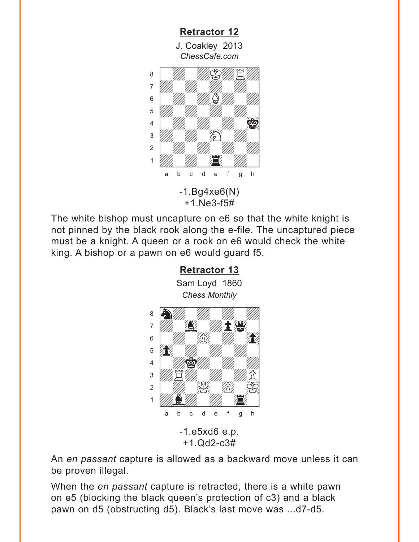<span id="page-8-0"></span>

The white bishop must uncapture on e6 so that the white knight is not pinned by the black rook along the e-file. The uncaptured piece must be a knight. A queen or a rook on e6 would check the white king. A bishop or a pawn on e6 would guard f5.



An *en passant* capture is allowed as a backward move unless it can be proven illegal.

When the *en passant* capture is retracted, there is a white pawn on e5 (blocking the black queen's protection of c3) and a black pawn on d5 (obstructing d5). Black's last move was ...d7-d5.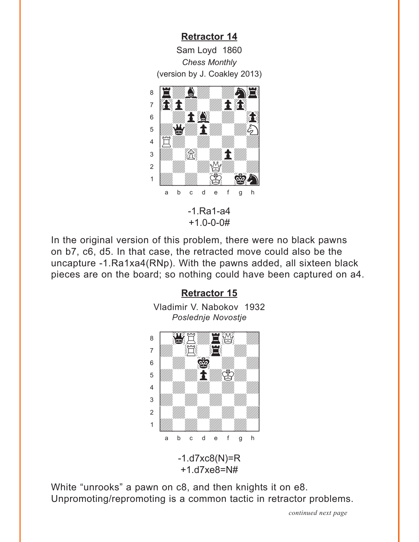<span id="page-9-0"></span>**[Retractor 14](#page-2-0)** Sam Loyd 1860 *Chess Monthly* (version by J. Coakley 2013)



In the original version of this problem, there were no black pawns on b7, c6, d5. In that case, the retracted move could also be the uncapture -1.Ra1xa4(RNp). With the pawns added, all sixteen black pieces are on the board; so nothing could have been captured on a4.

#### **[Retractor 15](#page-3-0)**

Vladimir V. Nabokov 1932 *Poslednje Novostje*



White "unrooks" a pawn on c8, and then knights it on e8. Unpromoting/repromoting is a common tactic in retractor problems.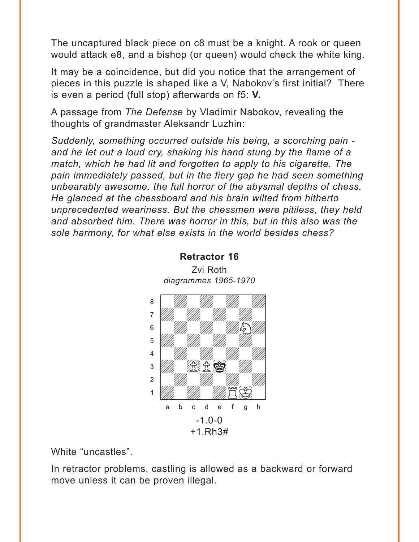<span id="page-10-0"></span>The uncaptured black piece on c8 must be a knight. A rook or queen would attack e8, and a bishop (or queen) would check the white king.

It may be a coincidence, but did you notice that the arrangement of pieces in this puzzle is shaped like a V, Nabokov's first initial? There is even a period (full stop) afterwards on f5: **V.**

A passage from *The Defense* by Vladimir Nabokov, revealing the thoughts of grandmaster Aleksandr Luzhin:

*Suddenly, something occurred outside his being, a scorching pain and he let out a loud cry, shaking his hand stung by the flame of a match, which he had lit and forgotten to apply to his cigarette. The pain immediately passed, but in the fiery gap he had seen something unbearably awesome, the full horror of the abysmal depths of chess. He glanced at the chessboard and his brain wilted from hitherto unprecedented weariness. But the chessmen were pitiless, they held and absorbed him. There was horror in this, but in this also was the sole harmony, for what else exists in the world besides chess?*



Zvi Roth *diagrammes 1965-1970*

**[Retractor 16](#page-4-0)**

White "uncastles".

In retractor problems, castling is allowed as a backward or forward move unless it can be proven illegal.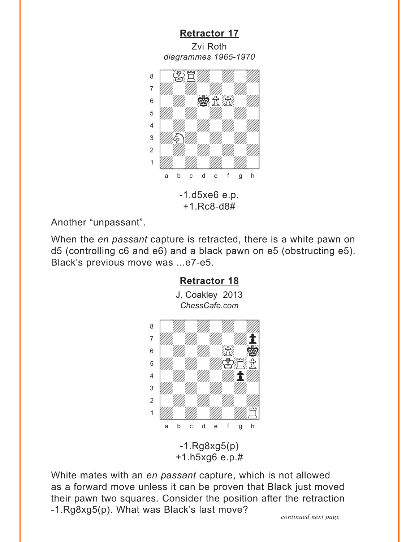<span id="page-11-0"></span>**[Retractor 17](#page-4-0)** Zvi Roth *diagrammes 1965-1970* w\_\_\_\_\_\_\_\_w



+1.Rc8-d8#

Another "unpassant".

When the *en passant* capture is retracted, there is a white pawn on d5 (controlling c6 and e6) and a black pawn on e5 (obstructing e5). Black's previous move was ...e7-e5.



White mates with an *en passant* capture, which is not allowed as a forward move unless it can be proven that Black just moved their pawn two squares. Consider the position after the retraction -1.Rg8xg5(p). What was Black's last move? *continued next page*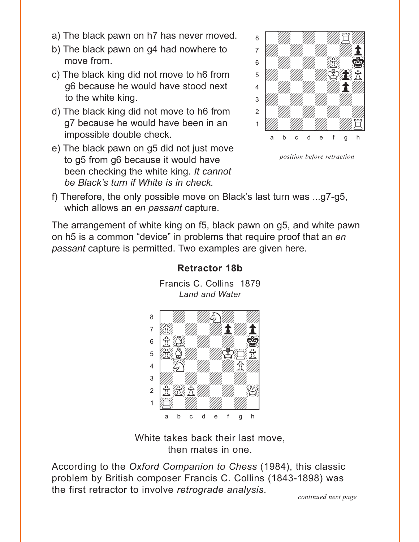- a) The black pawn on h7 has never moved.
- b) The black pawn on g4 had nowhere to move from.
- c) The black king did not move to h6 from g6 because he would have stood next to the white king.
- d) The black king did not move to h6 from g7 because he would have been in an impossible double check.
- e) The black pawn on g5 did not just move to g5 from g6 because it would have been checking the white king. *It cannot be Black's turn if White is in check.*



*position before retraction*

f) Therefore, the only possible move on Black's last turn was ...g7-g5, which allows an *en passant* capture.

The arrangement of white king on f5, black pawn on g5, and white pawn on h5 is a common "device" in problems that require proof that an *en passant* capture is permitted. Two examples are given here.



Francis C. Collins 1879 *Land and Water*

**[Retractor 18b](#page-13-0)**

White takes back their last move, then mates in one.

According to the *Oxford Companion to Chess* (1984), this classic problem by British composer Francis C. Collins (1843-1898) was the first retractor to involve *retrograde analysis*. *continued next page*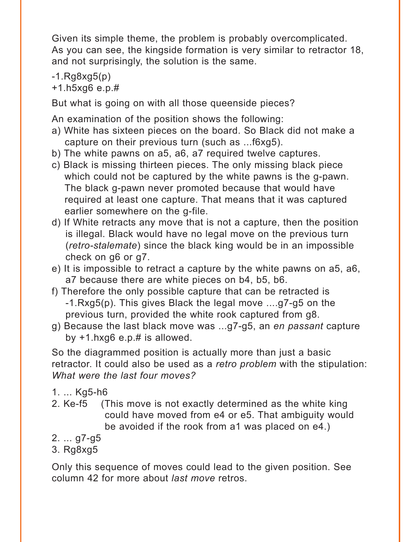<span id="page-13-0"></span>Given its simple theme, the problem is probably overcomplicated. As you can see, the kingside formation is very similar to retractor 18, and not surprisingly, the solution is the same.

-1.Rg8xg5(p)

+1.h5xg6 e.p.#

But what is going on with all those queenside pieces?

An examination of the position shows the following:

- a) White has sixteen pieces on the board. So Black did not make a capture on their previous turn (such as ...f6xg5).
- b) The white pawns on a5, a6, a7 required twelve captures.
- c) Black is missing thirteen pieces. The only missing black piece which could not be captured by the white pawns is the g-pawn. The black g-pawn never promoted because that would have required at least one capture. That means that it was captured earlier somewhere on the g-file.
- d) If White retracts any move that is not a capture, then the position is illegal. Black would have no legal move on the previous turn (*retro-stalemate*) since the black king would be in an impossible check on g6 or g7.
- e) It is impossible to retract a capture by the white pawns on a5, a6, a7 because there are white pieces on b4, b5, b6.
- f) Therefore the only possible capture that can be retracted is -1.Rxg5(p). This gives Black the legal move ....g7-g5 on the previous turn, provided the white rook captured from g8.
- g) Because the last black move was ...g7-g5, an *en passant* capture by  $+1.$ hxg6 e.p. $#$  is allowed.

So the diagrammed position is actually more than just a basic retractor. It could also be used as a *retro problem* with the stipulation: *What were the last four moves?*

- 1. ... Kg5-h6
- 2. Ke-f5 (This move is not exactly determined as the white king could have moved from e4 or e5. That ambiguity would be avoided if the rook from a1 was placed on e4.)
- 2. ... g7-g5
- 3. Rg8xg5

Only this sequence of moves could lead to the given position. See column 42 for more about *last move* retros.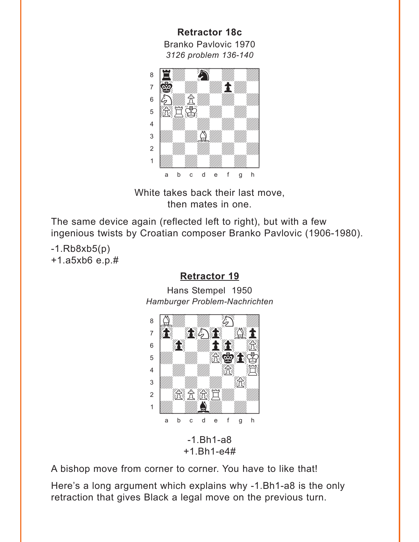<span id="page-14-0"></span>**Retractor 18c**  Branko Pavlovic 1970 *3126 problem 136-140*  w\_\_\_\_\_\_\_\_w



White takes back their last move, then mates in one.

The same device again (reflected left to right), but with a few ingenious twists by Croatian composer Branko Pavlovic (1906-1980).

 $-1.Rb8xb5(p)$ +1.a5xb6 e.p.#

#### **[Retractor 19](#page-5-0)**

Hans Stempel 1950 *Hamburger Problem-Nachrichten* w\_\_\_\_\_\_\_\_w



+1.Bh1-e4#

A bishop move from corner to corner. You have to like that!

Here's a long argument which explains why -1.Bh1-a8 is the only retraction that gives Black a legal move on the previous turn.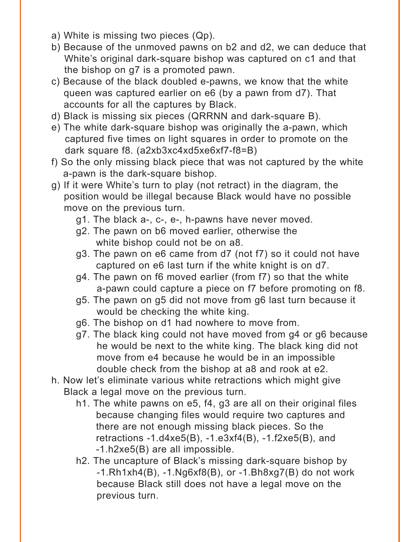- a) White is missing two pieces (Qp).
- b) Because of the unmoved pawns on b2 and d2, we can deduce that White's original dark-square bishop was captured on c1 and that the bishop on g7 is a promoted pawn.
- c) Because of the black doubled e-pawns, we know that the white queen was captured earlier on e6 (by a pawn from d7). That accounts for all the captures by Black.
- d) Black is missing six pieces (QRRNN and dark-square B).
- e) The white dark-square bishop was originally the a-pawn, which captured five times on light squares in order to promote on the dark square f8. (a2xb3xc4xd5xe6xf7-f8=B)
- f) So the only missing black piece that was not captured by the white a-pawn is the dark-square bishop.
- g) If it were White's turn to play (not retract) in the diagram, the position would be illegal because Black would have no possible move on the previous turn.
	- g1. The black a-, c-, e-, h-pawns have never moved.
	- g2. The pawn on b6 moved earlier, otherwise the white bishop could not be on a8.
	- g3. The pawn on e6 came from d7 (not f7) so it could not have captured on e6 last turn if the white knight is on d7.
	- g4. The pawn on f6 moved earlier (from f7) so that the white a-pawn could capture a piece on f7 before promoting on f8.
	- g5. The pawn on g5 did not move from g6 last turn because it would be checking the white king.
	- g6. The bishop on d1 had nowhere to move from.
	- g7. The black king could not have moved from g4 or g6 because he would be next to the white king. The black king did not move from e4 because he would be in an impossible double check from the bishop at a8 and rook at e2.
- h. Now let's eliminate various white retractions which might give Black a legal move on the previous turn.
	- h1. The white pawns on e5, f4, g3 are all on their original files because changing files would require two captures and there are not enough missing black pieces. So the retractions  $-1.$ d4xe5(B),  $-1.$ e3xf4(B),  $-1.$ f2xe5(B), and -1.h2xe5(B) are all impossible.
	- h2. The uncapture of Black's missing dark-square bishop by  $-1.Rh1xh4(B)$ ,  $-1.Nq6xf8(B)$ , or  $-1.Bh8xq7(B)$  do not work because Black still does not have a legal move on the previous turn.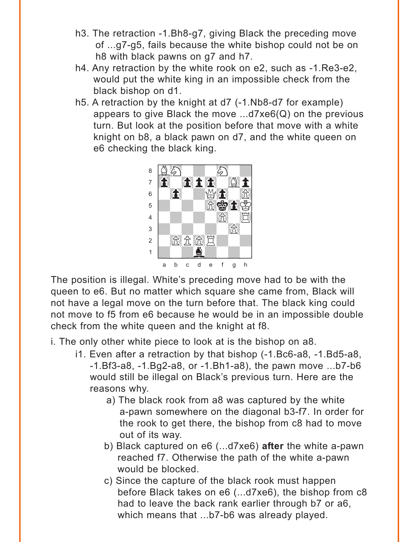- h3. The retraction -1.Bh8-g7, giving Black the preceding move of ...g7-g5, fails because the white bishop could not be on h8 with black pawns on g7 and h7.
- h4. Any retraction by the white rook on e2, such as -1.Re3-e2, would put the white king in an impossible check from the black bishop on d1.
- h5. A retraction by the knight at d7 (-1.Nb8-d7 for example) appears to give Black the move ...d7xe6(Q) on the previous turn. But look at the position before that move with a white knight on b8, a black pawn on d7, and the white queen on e6 checking the black king.



The position is illegal. White's preceding move had to be with the queen to e6. But no matter which square she came from, Black will not have a legal move on the turn before that. The black king could not move to f5 from e6 because he would be in an impossible double check from the white queen and the knight at f8.

- i. The only other white piece to look at is the bishop on a8.
	- i1. Even after a retraction by that bishop (-1.Bc6-a8, -1.Bd5-a8, -1.Bf3-a8, -1.Bg2-a8, or -1.Bh1-a8), the pawn move ...b7-b6 would still be illegal on Black's previous turn. Here are the reasons why.
		- a) The black rook from a8 was captured by the white a-pawn somewhere on the diagonal b3-f7. In order for the rook to get there, the bishop from c8 had to move out of its way.
		- b) Black captured on e6 (...d7xe6) **after** the white a-pawn reached f7. Otherwise the path of the white a-pawn would be blocked.
		- c) Since the capture of the black rook must happen before Black takes on e6 (...d7xe6), the bishop from c8 had to leave the back rank earlier through b7 or a6, which means that ...b7-b6 was already played.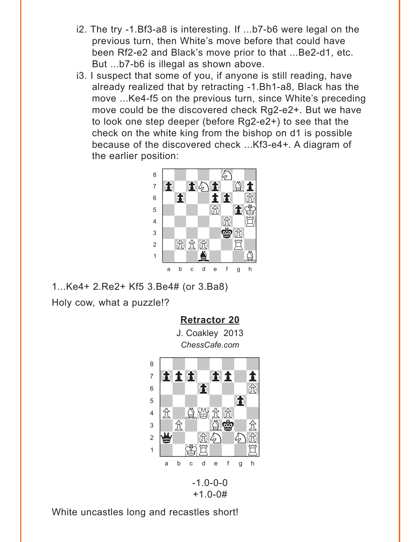- <span id="page-17-0"></span>i2. The try -1.Bf3-a8 is interesting. If ...b7-b6 were legal on the previous turn, then White's move before that could have been Rf2-e2 and Black's move prior to that ...Be2-d1, etc. But ...b7-b6 is illegal as shown above.
- i3. I suspect that some of you, if anyone is still reading, have already realized that by retracting -1.Bh1-a8, Black has the move ...Ke4-f5 on the previous turn, since White's preceding move could be the discovered check Rg2-e2+. But we have to look one step deeper (before Rg2-e2+) to see that the check on the white king from the bishop on d1 is possible because of the discovered check ...Kf3-e4+. A diagram of the earlier position:



1...Ke4+ 2.Re2+ Kf5 3.Be4# (or 3.Ba8)

Holy cow, what a puzzle!?

**[Retractor 20](#page-6-0)**

J. Coakley 2013 *ChessCafe.com*  $C$ ressoare.com



 $-1.0 - 0 - 0$ +1.0-0#

White uncastles long and recastles short!